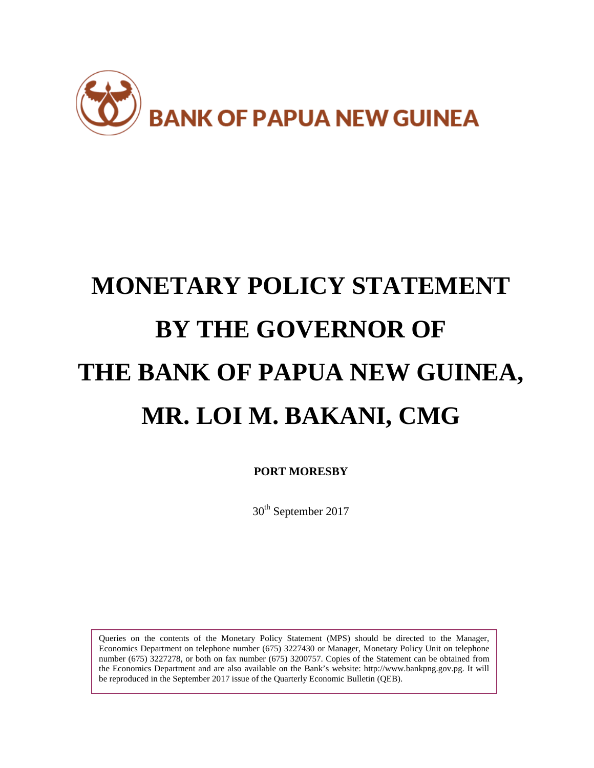

# **MONETARY POLICY STATEMENT BY THE GOVERNOR OF THE BANK OF PAPUA NEW GUINEA, MR. LOI M. BAKANI, CMG**

**PORT MORESBY**

30<sup>th</sup> September 2017

Queries on the contents of the Monetary Policy Statement (MPS) should be directed to the Manager, Economics Department on telephone number (675) 3227430 or Manager, Monetary Policy Unit on telephone number (675) 3227278, or both on fax number (675) 3200757. Copies of the Statement can be obtained from the Economics Department and are also available on the Bank's website: http://www.bankpng.gov.pg. It will be reproduced in the September 2017 issue of the Quarterly Economic Bulletin (QEB).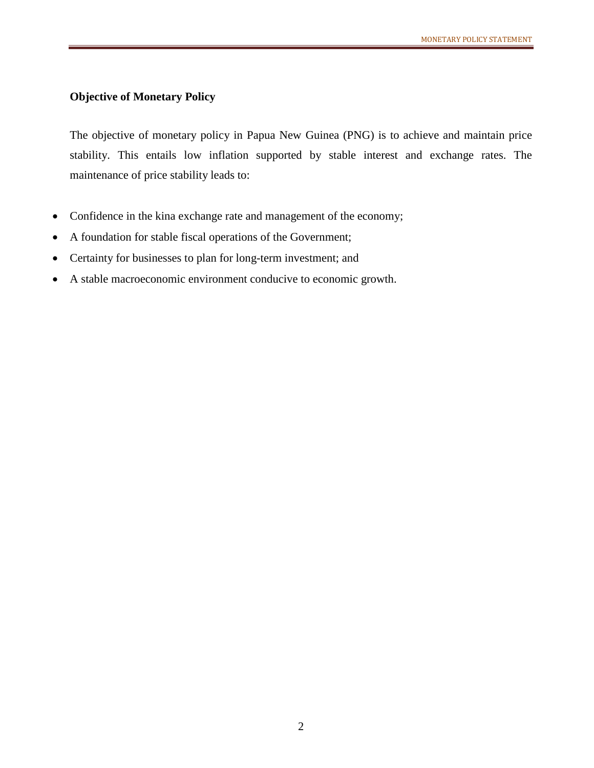## **Objective of Monetary Policy**

The objective of monetary policy in Papua New Guinea (PNG) is to achieve and maintain price stability. This entails low inflation supported by stable interest and exchange rates. The maintenance of price stability leads to:

- Confidence in the kina exchange rate and management of the economy;
- A foundation for stable fiscal operations of the Government;
- Certainty for businesses to plan for long-term investment; and
- A stable macroeconomic environment conducive to economic growth.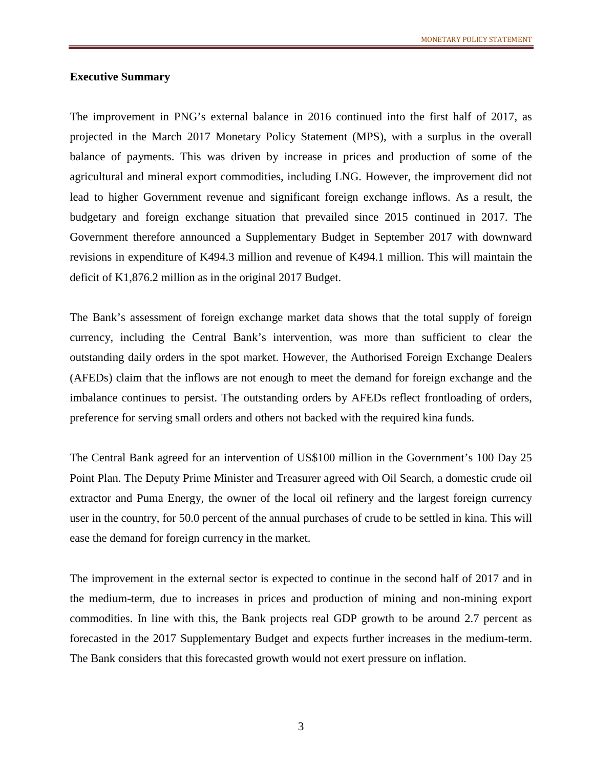## **Executive Summary**

The improvement in PNG's external balance in 2016 continued into the first half of 2017, as projected in the March 2017 Monetary Policy Statement (MPS), with a surplus in the overall balance of payments. This was driven by increase in prices and production of some of the agricultural and mineral export commodities, including LNG. However, the improvement did not lead to higher Government revenue and significant foreign exchange inflows. As a result, the budgetary and foreign exchange situation that prevailed since 2015 continued in 2017. The Government therefore announced a Supplementary Budget in September 2017 with downward revisions in expenditure of K494.3 million and revenue of K494.1 million. This will maintain the deficit of K1,876.2 million as in the original 2017 Budget.

The Bank's assessment of foreign exchange market data shows that the total supply of foreign currency, including the Central Bank's intervention, was more than sufficient to clear the outstanding daily orders in the spot market. However, the Authorised Foreign Exchange Dealers (AFEDs) claim that the inflows are not enough to meet the demand for foreign exchange and the imbalance continues to persist. The outstanding orders by AFEDs reflect frontloading of orders, preference for serving small orders and others not backed with the required kina funds.

The Central Bank agreed for an intervention of US\$100 million in the Government's 100 Day 25 Point Plan. The Deputy Prime Minister and Treasurer agreed with Oil Search, a domestic crude oil extractor and Puma Energy, the owner of the local oil refinery and the largest foreign currency user in the country, for 50.0 percent of the annual purchases of crude to be settled in kina. This will ease the demand for foreign currency in the market.

The improvement in the external sector is expected to continue in the second half of 2017 and in the medium-term, due to increases in prices and production of mining and non-mining export commodities. In line with this, the Bank projects real GDP growth to be around 2.7 percent as forecasted in the 2017 Supplementary Budget and expects further increases in the medium-term. The Bank considers that this forecasted growth would not exert pressure on inflation.

3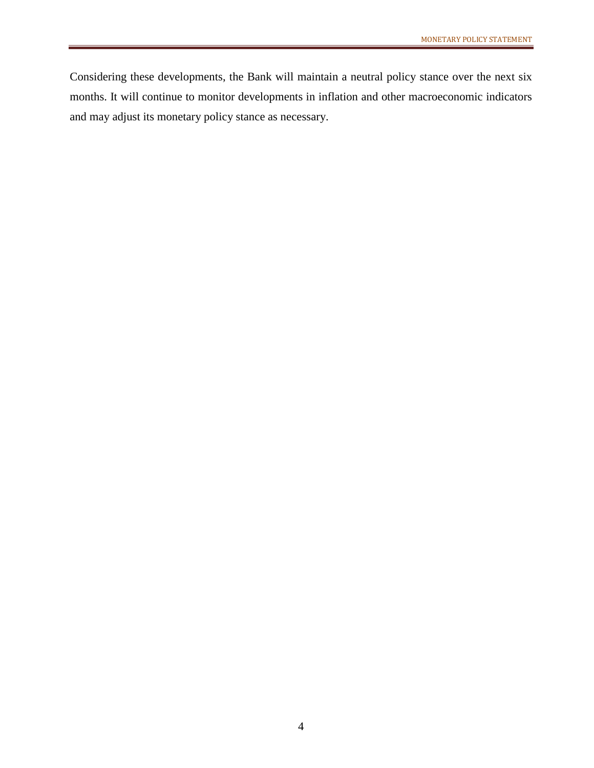Considering these developments, the Bank will maintain a neutral policy stance over the next six months. It will continue to monitor developments in inflation and other macroeconomic indicators and may adjust its monetary policy stance as necessary.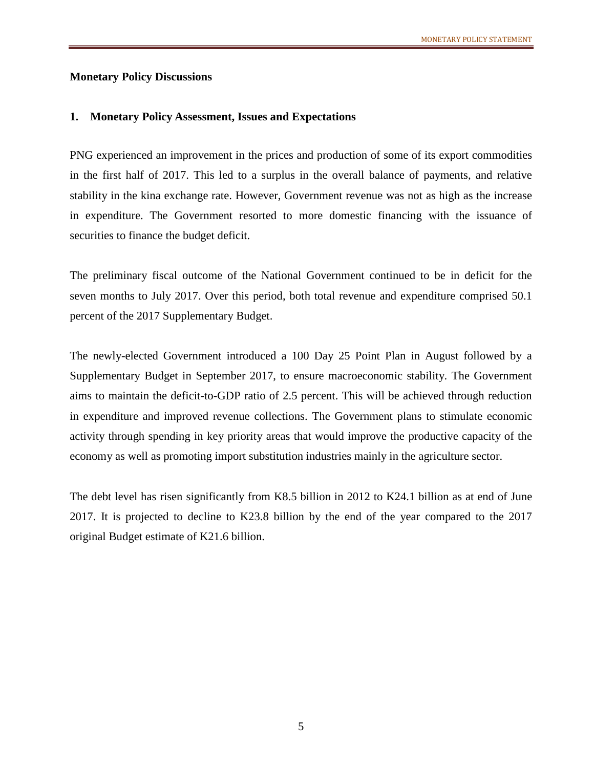## **Monetary Policy Discussions**

#### **1. Monetary Policy Assessment, Issues and Expectations**

PNG experienced an improvement in the prices and production of some of its export commodities in the first half of 2017. This led to a surplus in the overall balance of payments, and relative stability in the kina exchange rate. However, Government revenue was not as high as the increase in expenditure. The Government resorted to more domestic financing with the issuance of securities to finance the budget deficit.

The preliminary fiscal outcome of the National Government continued to be in deficit for the seven months to July 2017. Over this period, both total revenue and expenditure comprised 50.1 percent of the 2017 Supplementary Budget.

The newly-elected Government introduced a 100 Day 25 Point Plan in August followed by a Supplementary Budget in September 2017, to ensure macroeconomic stability. The Government aims to maintain the deficit-to-GDP ratio of 2.5 percent. This will be achieved through reduction in expenditure and improved revenue collections. The Government plans to stimulate economic activity through spending in key priority areas that would improve the productive capacity of the economy as well as promoting import substitution industries mainly in the agriculture sector.

The debt level has risen significantly from K8.5 billion in 2012 to K24.1 billion as at end of June 2017. It is projected to decline to K23.8 billion by the end of the year compared to the 2017 original Budget estimate of K21.6 billion.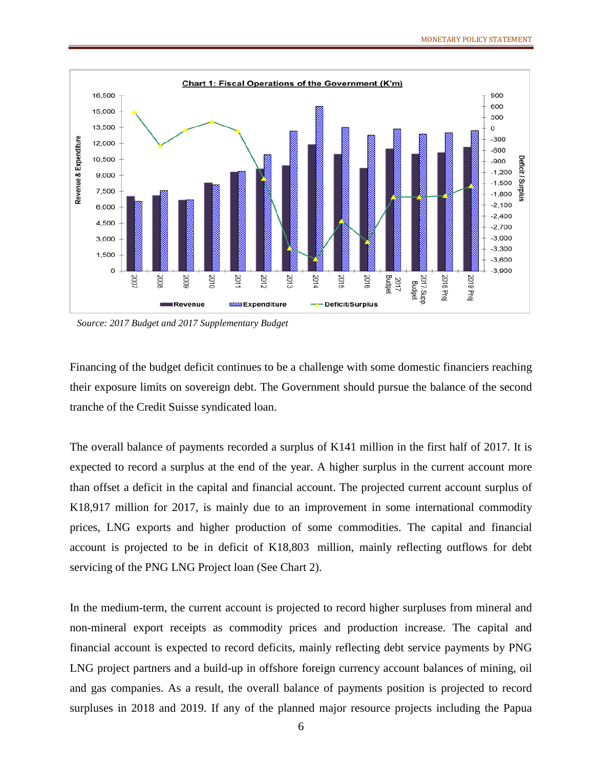

*Source: 2017 Budget and 2017 Supplementary Budget*

Financing of the budget deficit continues to be a challenge with some domestic financiers reaching their exposure limits on sovereign debt. The Government should pursue the balance of the second tranche of the Credit Suisse syndicated loan.

The overall balance of payments recorded a surplus of K141 million in the first half of 2017. It is expected to record a surplus at the end of the year. A higher surplus in the current account more than offset a deficit in the capital and financial account. The projected current account surplus of K18,917 million for 2017, is mainly due to an improvement in some international commodity prices, LNG exports and higher production of some commodities. The capital and financial account is projected to be in deficit of K18,803 million, mainly reflecting outflows for debt servicing of the PNG LNG Project loan (See Chart 2).

In the medium-term, the current account is projected to record higher surpluses from mineral and non-mineral export receipts as commodity prices and production increase. The capital and financial account is expected to record deficits, mainly reflecting debt service payments by PNG LNG project partners and a build-up in offshore foreign currency account balances of mining, oil and gas companies. As a result, the overall balance of payments position is projected to record surpluses in 2018 and 2019. If any of the planned major resource projects including the Papua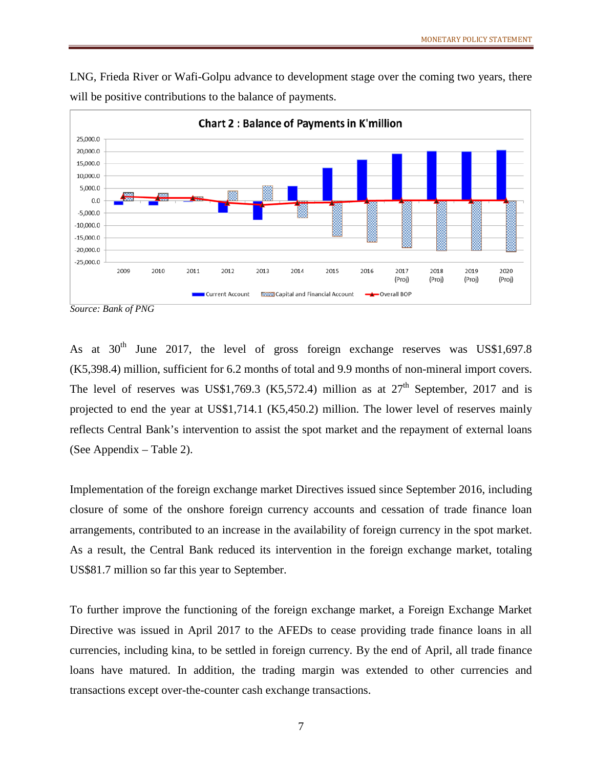LNG, Frieda River or Wafi-Golpu advance to development stage over the coming two years, there will be positive contributions to the balance of payments.



*Source: Bank of PNG*

As at  $30<sup>th</sup>$  June 2017, the level of gross foreign exchange reserves was US\$1,697.8 (K5,398.4) million, sufficient for 6.2 months of total and 9.9 months of non-mineral import covers. The level of reserves was US\$1,769.3 (K5,572.4) million as at  $27<sup>th</sup>$  September, 2017 and is projected to end the year at US\$1,714.1 (K5,450.2) million. The lower level of reserves mainly reflects Central Bank's intervention to assist the spot market and the repayment of external loans (See Appendix – Table 2).

Implementation of the foreign exchange market Directives issued since September 2016, including closure of some of the onshore foreign currency accounts and cessation of trade finance loan arrangements, contributed to an increase in the availability of foreign currency in the spot market. As a result, the Central Bank reduced its intervention in the foreign exchange market, totaling US\$81.7 million so far this year to September.

To further improve the functioning of the foreign exchange market, a Foreign Exchange Market Directive was issued in April 2017 to the AFEDs to cease providing trade finance loans in all currencies, including kina, to be settled in foreign currency. By the end of April, all trade finance loans have matured. In addition, the trading margin was extended to other currencies and transactions except over-the-counter cash exchange transactions.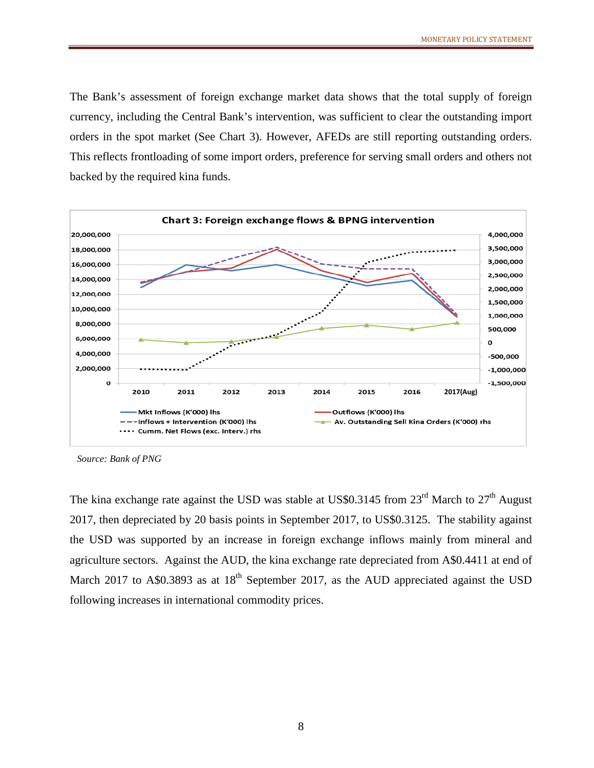The Bank's assessment of foreign exchange market data shows that the total supply of foreign currency, including the Central Bank's intervention, was sufficient to clear the outstanding import orders in the spot market (See Chart 3). However, AFEDs are still reporting outstanding orders. This reflects frontloading of some import orders, preference for serving small orders and others not backed by the required kina funds.



*Source: Bank of PNG*

The kina exchange rate against the USD was stable at US\$0.3145 from  $23<sup>rd</sup>$  March to  $27<sup>th</sup>$  August 2017, then depreciated by 20 basis points in September 2017, to US\$0.3125. The stability against the USD was supported by an increase in foreign exchange inflows mainly from mineral and agriculture sectors. Against the AUD, the kina exchange rate depreciated from A\$0.4411 at end of March 2017 to A\$0.3893 as at  $18<sup>th</sup>$  September 2017, as the AUD appreciated against the USD following increases in international commodity prices.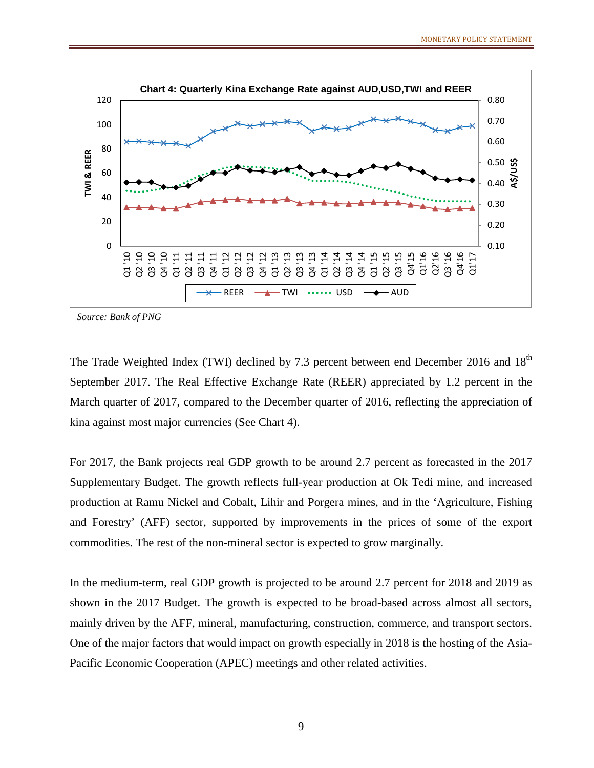

*Source: Bank of PNG*

The Trade Weighted Index (TWI) declined by 7.3 percent between end December 2016 and 18<sup>th</sup> September 2017. The Real Effective Exchange Rate (REER) appreciated by 1.2 percent in the March quarter of 2017, compared to the December quarter of 2016, reflecting the appreciation of kina against most major currencies (See Chart 4).

For 2017, the Bank projects real GDP growth to be around 2.7 percent as forecasted in the 2017 Supplementary Budget. The growth reflects full-year production at Ok Tedi mine, and increased production at Ramu Nickel and Cobalt, Lihir and Porgera mines, and in the 'Agriculture, Fishing and Forestry' (AFF) sector, supported by improvements in the prices of some of the export commodities. The rest of the non-mineral sector is expected to grow marginally.

In the medium-term, real GDP growth is projected to be around 2.7 percent for 2018 and 2019 as shown in the 2017 Budget. The growth is expected to be broad-based across almost all sectors, mainly driven by the AFF, mineral, manufacturing, construction, commerce, and transport sectors. One of the major factors that would impact on growth especially in 2018 is the hosting of the Asia-Pacific Economic Cooperation (APEC) meetings and other related activities.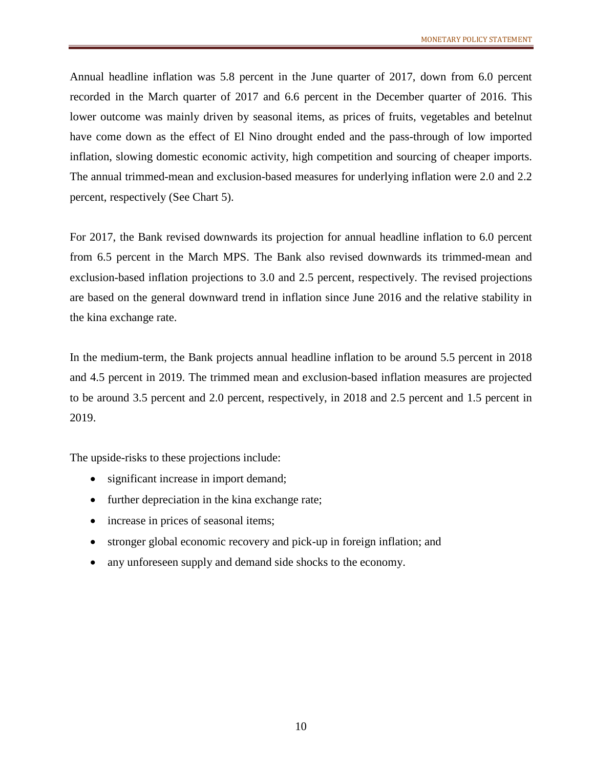Annual headline inflation was 5.8 percent in the June quarter of 2017, down from 6.0 percent recorded in the March quarter of 2017 and 6.6 percent in the December quarter of 2016. This lower outcome was mainly driven by seasonal items, as prices of fruits, vegetables and betelnut have come down as the effect of El Nino drought ended and the pass-through of low imported inflation, slowing domestic economic activity, high competition and sourcing of cheaper imports. The annual trimmed-mean and exclusion-based measures for underlying inflation were 2.0 and 2.2 percent, respectively (See Chart 5).

For 2017, the Bank revised downwards its projection for annual headline inflation to 6.0 percent from 6.5 percent in the March MPS. The Bank also revised downwards its trimmed-mean and exclusion-based inflation projections to 3.0 and 2.5 percent, respectively. The revised projections are based on the general downward trend in inflation since June 2016 and the relative stability in the kina exchange rate.

In the medium-term, the Bank projects annual headline inflation to be around 5.5 percent in 2018 and 4.5 percent in 2019. The trimmed mean and exclusion-based inflation measures are projected to be around 3.5 percent and 2.0 percent, respectively, in 2018 and 2.5 percent and 1.5 percent in 2019.

The upside-risks to these projections include:

- significant increase in import demand;
- further depreciation in the kina exchange rate;
- increase in prices of seasonal items;
- stronger global economic recovery and pick-up in foreign inflation; and
- any unforeseen supply and demand side shocks to the economy.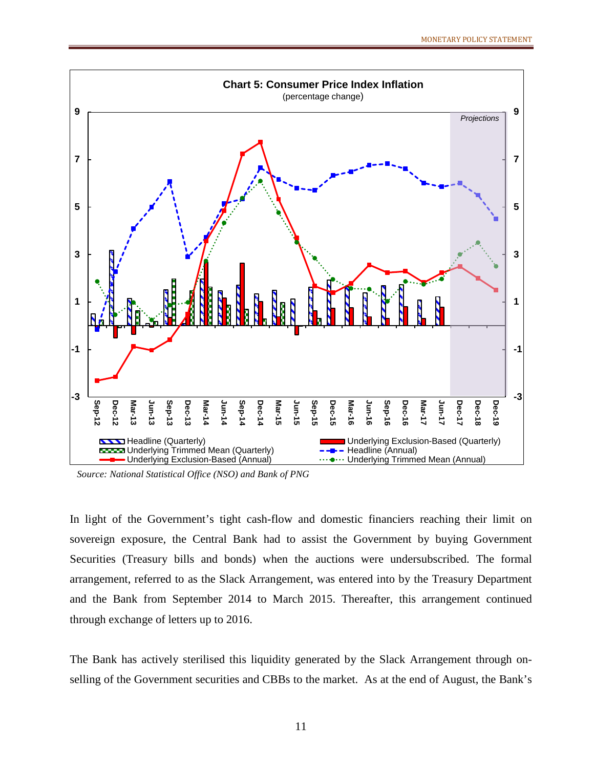

*Source: National Statistical Office (NSO) and Bank of PNG*

In light of the Government's tight cash-flow and domestic financiers reaching their limit on sovereign exposure, the Central Bank had to assist the Government by buying Government Securities (Treasury bills and bonds) when the auctions were undersubscribed. The formal arrangement, referred to as the Slack Arrangement*,* was entered into by the Treasury Department and the Bank from September 2014 to March 2015. Thereafter, this arrangement continued through exchange of letters up to 2016.

The Bank has actively sterilised this liquidity generated by the Slack Arrangement through onselling of the Government securities and CBBs to the market. As at the end of August, the Bank's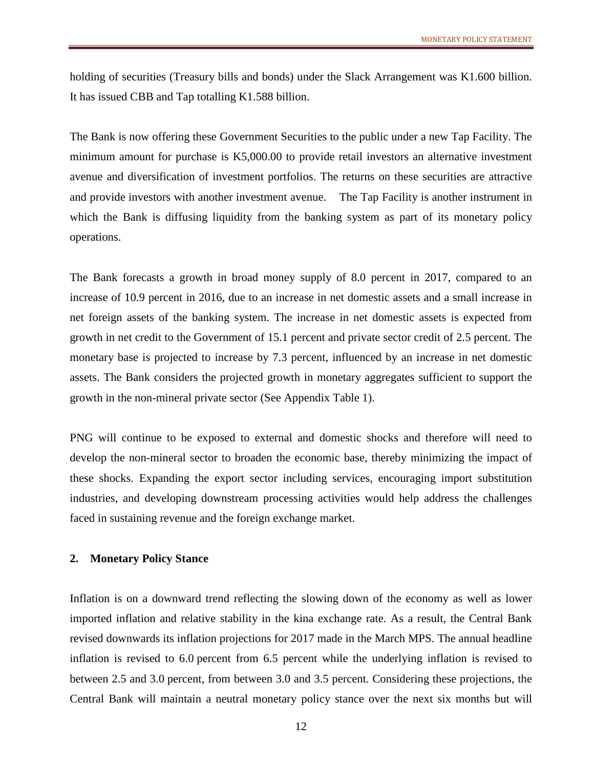holding of securities (Treasury bills and bonds) under the Slack Arrangement was K1.600 billion. It has issued CBB and Tap totalling K1.588 billion.

The Bank is now offering these Government Securities to the public under a new Tap Facility. The minimum amount for purchase is K5,000.00 to provide retail investors an alternative investment avenue and diversification of investment portfolios. The returns on these securities are attractive and provide investors with another investment avenue. The Tap Facility is another instrument in which the Bank is diffusing liquidity from the banking system as part of its monetary policy operations.

The Bank forecasts a growth in broad money supply of 8.0 percent in 2017, compared to an increase of 10.9 percent in 2016, due to an increase in net domestic assets and a small increase in net foreign assets of the banking system. The increase in net domestic assets is expected from growth in net credit to the Government of 15.1 percent and private sector credit of 2.5 percent. The monetary base is projected to increase by 7.3 percent, influenced by an increase in net domestic assets. The Bank considers the projected growth in monetary aggregates sufficient to support the growth in the non-mineral private sector (See Appendix Table 1).

PNG will continue to be exposed to external and domestic shocks and therefore will need to develop the non-mineral sector to broaden the economic base, thereby minimizing the impact of these shocks. Expanding the export sector including services, encouraging import substitution industries, and developing downstream processing activities would help address the challenges faced in sustaining revenue and the foreign exchange market.

#### **2. Monetary Policy Stance**

Inflation is on a downward trend reflecting the slowing down of the economy as well as lower imported inflation and relative stability in the kina exchange rate. As a result, the Central Bank revised downwards its inflation projections for 2017 made in the March MPS. The annual headline inflation is revised to 6.0 percent from 6.5 percent while the underlying inflation is revised to between 2.5 and 3.0 percent, from between 3.0 and 3.5 percent. Considering these projections, the Central Bank will maintain a neutral monetary policy stance over the next six months but will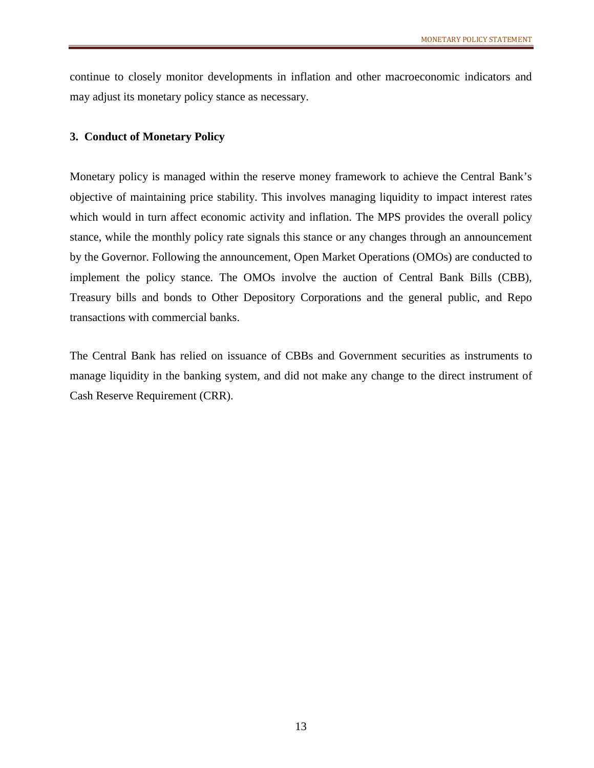continue to closely monitor developments in inflation and other macroeconomic indicators and may adjust its monetary policy stance as necessary.

## **3. Conduct of Monetary Policy**

Monetary policy is managed within the reserve money framework to achieve the Central Bank's objective of maintaining price stability. This involves managing liquidity to impact interest rates which would in turn affect economic activity and inflation. The MPS provides the overall policy stance, while the monthly policy rate signals this stance or any changes through an announcement by the Governor. Following the announcement, Open Market Operations (OMOs) are conducted to implement the policy stance. The OMOs involve the auction of Central Bank Bills (CBB), Treasury bills and bonds to Other Depository Corporations and the general public, and Repo transactions with commercial banks.

The Central Bank has relied on issuance of CBBs and Government securities as instruments to manage liquidity in the banking system, and did not make any change to the direct instrument of Cash Reserve Requirement (CRR).